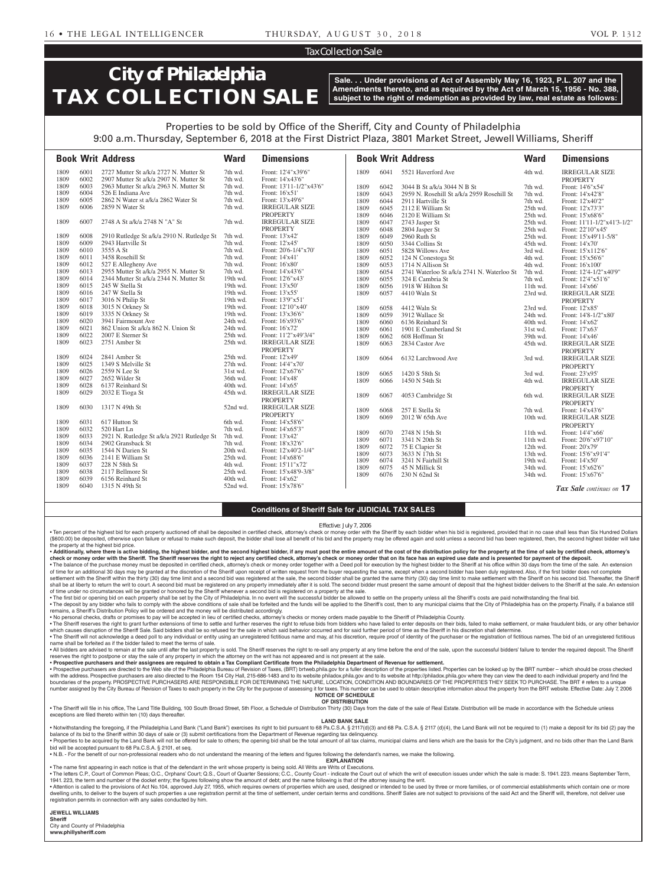### Tax Collection Sale

# **City of Philadelphia TAX COLLECTION SALE**

**Sale. . . Under provisions of Act of Assembly May 16, 1923, P.L. 207 and the Amendments thereto, and as required by the Act of March 15, 1956 - No. 388, subject to the right of redemption as provided by law, real estate as follows:**

### Properties to be sold by Office of the Sheriff, City and County of Philadelphia

**Book Writ Address Ward Dimensions Book Writ Address Ward Dimensions** 9:00 a.m. Thursday, September 6, 2018 at the First District Plaza, 3801 Market Street, Jewell Williams, Sheriff 1809 6001 2727 Mutter St a/k/a 2727 N. Mutter St 7th wd. Front: 12'4"x39'6"<br>1809 6002 2907 Mutter St a/k/a 2907 N. Mutter St 7th wd. Front: 14'x43'6" 1809 6002 2907 Mutter St a/k/a 2907 N. Mutter St 7th wd. Front: 14'x43'6"<br>1809 6003 2963 Mutter St a/k/a 2963 N. Mutter St 7th wd. Front: 13'11-1/2"x43'6" 1809 6003 2963 Mutter St a/k/a 2963 N. Mutter St 7th wd. 1809 6004 526 E Indiana Ave 2010 7th wd. Front: 16'x51'<br>1809 6005 2862 N Water st a/k/a 2862 Water St 21th wd. Front: 13'x49'6" 1809 6005 2862 N Water st a/k/a 2862 Water St 7th wd.<br>1809 6006 2859 N Water St 7th wd IRREGULAR SIZE 1809 6041 5521 Haverford Ave 4th wd. IRREGULAR SIZE PROPERTY<br>Front: 14'6"x54' 1809 6042 3044 B St a/k/a 3044 N B St 7th wd. 1809 6043 2959 N. Rosehill St a/k/a 2959 Rosehill St 7th wd. Front: 14'x42'8" 1809 6044 2911 Hartville St 7th wd. Front: 12'x40'2" 1809 6045 2112 E William St 25th wd. Front: 12'x73'3"

| 1007 | <u>vvvv</u> | $20J$ <i>IV Wallet St</i>                  | rui wu.  | INNLOULAIN JILL       | 10U <sub>2</sub> | UU+J         | $2112 \text{ E}$ while $\mathfrak{R}$      | 2011 wu.               | FIOIIL $12 \lambda/3$                 |
|------|-------------|--------------------------------------------|----------|-----------------------|------------------|--------------|--------------------------------------------|------------------------|---------------------------------------|
|      |             |                                            |          | <b>PROPERTY</b>       | 1809             | 6046         | 2120 E William St                          | 25th wd.               | Front: 15'x68'6"                      |
| 1809 | 6007        | 2748 A St a/k/a 2748 N "A" St              | 7th wd.  | <b>IRREGULAR SIZE</b> | 1809             | 6047         | 2743 Jasper St                             | 25th wd.               | Front: 11'11-1/2"x41'3-1/2"           |
|      |             |                                            |          | <b>PROPERTY</b>       | 1809             | 6048         | 2804 Jasper St                             | 25th wd.               | Front: 22'10"x45"                     |
| 1809 | 6008        | 2910 Rutledge St a/k/a 2910 N. Rutledge St | 7th wd.  | Front: 13'x42'        | 1809             | 6049         | 2960 Ruth St                               | 25th wd.               | Front: 15'x49'11-5/8"                 |
| 1809 | 6009        | 2943 Hartville St                          | 7th wd.  | Front: 12'x45'        | 1809             | 6050         | 3344 Collins St                            | 45th wd.               | Front: 14'x70'                        |
| 1809 | 6010        | 3555 A St                                  | 7th wd.  | Front: 20'6-1/4"x70"  | 1809             | 6051         | 5828 Willows Ave                           | 3rd wd.                | Front: 15'x112'6"                     |
| 1809 | 6011        | 3458 Rosehill St                           | 7th wd.  | Front: 14'x41'        | 1809             | 6052         | 124 N Conestoga St                         | 4th wd.                | Front: 15'x56'6"                      |
| 1809 | 6012        | 527 E Allegheny Ave                        | 7th wd.  | Front: 16'x80'        | 1809             | 6053         | 1714 N Allison St                          | 4th wd.                | Front: 16'x100'                       |
| 1809 | 6013        | 2955 Mutter St a/k/a 2955 N. Mutter St     | 7th wd.  | Front: 14'x43'6"      | 1809             | 6054         | 2741 Waterloo St a/k/a 2741 N. Waterloo St | 7th wd.                | Front: 12'4-1/2"x40'9"                |
| 1809 | 6014        | 2344 Mutter St a/k/a 2344 N. Mutter St     | 19th wd. | Front: 12'6"x43'      | 1809             | 6055         | 324 E Cambria St                           | 7th wd.                | Front: 12'4"x51'6"                    |
| 1809 | 6015        | 245 W Stella St                            | 19th wd. | Front: 13'x50'        | 1809             | 6056         | 1918 W Hilton St                           | $11th$ wd.             | Front: 14'x66'                        |
| 1809 | 6016        | 247 W Stella St                            | 19th wd. | Front: 13'x55'        | 1809             | 6057         | 4410 Waln St                               | 23rd wd.               | <b>IRREGULAR SIZE</b>                 |
| 1809 | 6017        | 3016 N Philip St                           | 19th wd. | Front: 13'9"x51'      |                  |              |                                            |                        | <b>PROPERTY</b>                       |
| 1809 | 6018        | 3015 N Orkney St                           | 19th wd. | Front: 12'10"x40"     | 1809             | 6058         | 4412 Waln St                               | 23rd wd.               | Front: 12'x85'                        |
| 1809 | 6019        | 3335 N Orkney St                           | 19th wd. | Front: 13'x36'6"      | 1809             | 6059         | 3912 Wallace St                            | 24th wd.               | Front: 14'8-1/2"x80"                  |
| 1809 | 6020        | 3941 Fairmount Ave                         | 24th wd. | Front: 16'x93'6"      | 1809             | 6060         | 6136 Reinhard St                           | 40th wd.               | Front: 14'x62'                        |
| 1809 | 6021        | 862 Union St a/k/a 862 N. Union St         | 24th wd. | Front: 16'x72'        | 1809             | 6061         | 1901 E Cumberland St                       | 31st wd.               | Front: 17'x63'                        |
| 1809 | 6022        | 2007 E Sterner St                          | 25th wd. | Front: 11'2"x49'3/4"  | 1809             | 6062         | 608 Hoffman St                             | 39th wd.               | Front: 14'x46'                        |
| 1809 | 6023        | 2751 Amber St                              | 25th wd. | <b>IRREGULAR SIZE</b> | 1809             | 6063         | 2834 Castor Ave                            | 45th wd.               | <b>IRREGULAR SIZE</b>                 |
|      |             |                                            |          | <b>PROPERTY</b>       |                  |              |                                            |                        | <b>PROPERTY</b>                       |
| 1809 | 6024        | 2841 Amber St                              | 25th wd. | Front: 12'x49'        | 1809             | 6064         | 6132 Larchwood Ave                         | 3rd wd.                | <b>IRREGULAR SIZE</b>                 |
| 1809 | 6025        | 1349 S Melville St                         | 27th wd. | Front: 14'4"x70'      |                  |              |                                            |                        | <b>PROPERTY</b>                       |
| 1809 | 6026        | 2559 N Lee St                              | 31st wd. | Front: 12'x67'6"      | 1809             | 6065         | 1420 S 58th St                             | 3rd wd.                | Front: 23'x95'                        |
| 1809 | 6027        | 2652 Wilder St                             | 36th wd. | Front: 14'x48'        | 1809             | 6066         | 1450 N 54th St                             | 4th wd.                | <b>IRREGULAR SIZE</b>                 |
| 1809 | 6028        | 6137 Reinhard St                           | 40th wd. | Front: 14'x65'        |                  |              |                                            |                        | <b>PROPERTY</b>                       |
| 1809 | 6029        | 2032 E Tioga St                            | 45th wd. | <b>IRREGULAR SIZE</b> | 1809             | 6067         | 4053 Cambridge St                          | 6th wd.                | <b>IRREGULAR SIZE</b>                 |
|      |             |                                            |          | <b>PROPERTY</b>       |                  |              |                                            |                        | <b>PROPERTY</b>                       |
| 1809 | 6030        | 1317 N 49th St                             | 52nd wd. | <b>IRREGULAR SIZE</b> | 1809             | 6068         | 257 E Stella St                            | 7th wd.                | Front: 14'x43'6"                      |
|      |             |                                            |          | <b>PROPERTY</b>       | 1809             | 6069         | 2012 W 65th Ave                            | 10th wd.               | <b>IRREGULAR SIZE</b>                 |
| 1809 | 6031        | 617 Hutton St                              | 6th wd.  | Front: 14'x58'6"      |                  |              |                                            |                        | <b>PROPERTY</b>                       |
| 1809 | 6032        | 520 Hart Ln                                | 7th wd.  | Front: 14'x65'3"      |                  |              |                                            |                        |                                       |
| 1809 | 6033        | 2921 N. Rutledge St a/k/a 2921 Rutledge St | 7th wd.  | Front: 13'x42'        | 1809<br>1809     | 6070         | 2748 N 15th St<br>3341 N 20th St           | 11th wd.               | Front: 14'4"x66'                      |
| 1809 | 6034        | 2902 Gransback St                          | 7th wd.  | Front: 18'x32'6"      | 1809             | 6071<br>6072 |                                            | $11th$ wd.<br>12th wd. | Front: 20'6"x97'10"<br>Front: 20'x79' |
| 1809 | 6035        | 1544 N Darien St                           | 20th wd. | Front: 12'x40'2-1/4"  | 1809             |              | 75 E Clapier St                            |                        |                                       |
| 1809 | 6036        | 2141 E William St                          | 25th wd. | Front: 14'x68'6"      | 1809             | 6073<br>6074 | 3633 N 17th St<br>3241 N Fairhill St       | 13th wd.<br>19th wd.   | Front: 15'6"x91'4"<br>Front: 14'x50'  |
| 1809 | 6037        | 228 N 58th St                              | 4th wd.  | Front: 15'11"x72"     | 1809             | 6075         | 45 N Millick St                            | 34th wd.               | Front: 15'x62'6"                      |
| 1809 | 6038        | 2117 Bellmore St                           | 25th wd. | Front: 15'x48'9-3/8"  | 1809             | 6076         | 230 N 62nd St                              | 34th wd.               | Front: 15'x67'6"                      |
| 1809 | 6039        | 6156 Reinhard St                           | 40th wd. | Front: 14'x62'        |                  |              |                                            |                        |                                       |
| 1809 | 6040        | 1315 N 49th St                             | 52nd wd. | Front: 15'x78'6"      |                  |              |                                            |                        | Tax Sale continues on 17              |
|      |             |                                            |          |                       |                  |              |                                            |                        |                                       |

### **Conditions of Sheriff Sale for JUDICIAL TAX SALES**

*Effective: July 7, 2006*

. Ten percent of the highest bid for each property auctioned off shall be deposited in certified check, attorney's check or money order with the Sheriff by each bidder when his bid is registered, provided that in no case s (\$600.00) be deposited, otherwise upon failure or refusal to make such deposit, the bidder shall lose all benefit of his bid and the property may be offered again and sold unless a second bid has been registered, then, the the property at the highest bid price.

. Additionally, where there is active bidding, the highest bidder, and the second highest bidder, if any must post the entire amount of the cost of the distribution policy for the property at the time of sale by certified check or money order with the Sheriff. The Sheriff reserves the right to reject any certified check, attorney's check or money order that on its face has an expired use date and is presented for payment of the deposit.

• The balance of the purchase money must be deposited in certified check, attorney's check or money order together with a Deed poll for execution by the highest bidder to the Sheriff at his office within 30 days from the t settlement with the Sheriff within the thirty (30) day time limit and a second bid was registered at the sale, the second bidder shall be granted the same thirty (30) day time limit to make settlement with the Sheriff on h shall be at liberty to return the writ to court. A second bid must be registered on any property immediately after it is sold. The second bidder must present the same amount of deposit that the highest bidder delivers to t

. The first bid or opening bid on each property shall be set by the City of Philadelphia. In no event will the successful bidder be allowed to settle on the property unless all the Sheriff's costs are paid notwithstanding . The deposit by any bidder who fails to comply with the above conditions of sale shall be forfeited and the funds will be applied to the Sheriff's cost, then to any municipal claims that the City of Philadelphia has on th remains, a Sheriff's Distribution Policy will be ordered and the money will be distributed accordingly.

• No personal checks, drafts or promises to pay will be accepted in lieu of certified checks, attorney's checks or money orders made payable to the Sheriff of Philadelphia County.

. The Sheriff reserves the right to grant further extensions of time to settle and further reserves the right to refuse bids from bidders who have failed to enter deposits on their bids, failed to make settlement, or make which causes disruption of the Sheriff Sale. Said bidders shall be so refused for the sale in which said behavior occurred and for said further period of time as the Sheriff in his discretion shall determine. . The Sheriff will not acknowledge a deed poll to any individual or entity using an unregistered fictitious name and may, at his discretion, require proof of identity of the purchaser or the registration of fictitious name name shall be forfeited as if the bidder failed to meet the terms of sale.

. All bidders are advised to remain at the sale until after the last property is sold. The Sheriff reserves the right to re-sell any property at any time before the end of the sale, upon the successful bidders' failure to reserves the right to postpone or stay the sale of any property in which the attorney on the writ has not appeared and is not present at the sale.

• Prospective purchasers and their assignees are required to obtain a Tax Compliant Certificate from the Philadelphia Department of Revenue for settlement.<br>• Prospective purchasers are directed to the Web site of the Phila with the address. Prospective purchasers are also directed to the Room 154 City Hall, 215-686-1483 and to its website philadox.phila.gov and to its website at http://philadox.phila.gov where they can view the deed to each number assigned by the City Bureau of Revision of Taxes to each property in the City for the purpose of assessing it for taxes. This number can be used to obtain descriptive information about the property from the BRT webs

#### **NOTICE OF SCHEDULE OF DISTRIBUTION**

. The Sheriff will file in his office, The Land Title Building, 100 South Broad Street, 5th Floor, a Schedule of Distribution Thirty (30) Days from the date of the sale of Real Estate. Distribution will be made in accordan exceptions are filed thereto within ten (10) days thereafter.

**LAND BANK SALE**

. Notwithstanding the foregoing, if the Philadelphia Land Bank ("Land Bank") exercises its right to bid pursuant to 68 Pa.C.S.A. § 2117(d)(3) and 68 Pa.C.S.A. § 2117 (d)(4), the Land Bank will not be required to (1) make a balance of its bid to the Sheriff within 30 days of sale or (3) submit certifications from the Department of Revenue regarding tax delinquency.

. Properties to be acquired by the Land Bank will not be offered for sale to others; the opening bid shall be the total amount of all tax claims, municipal claims and liens which are the basis for the City's judgment, and bid will be accepted pursuant to 68 Pa.C.S.A. § 2101, et seq.

• N.B. - For the benefit of our non-professional readers who do not understand the meaning of the letters and figures following the defendant's names, we make the following. **EXPLANATION** 

• The name first appearing in each notice is that of the defendant in the writ whose property is being sold. All Writs are Writs of Executions.

. The letters C.P., Court of Common Pleas; O.C., Orphans' Court; Q.S., Court of Quarter Sessions; C.C., County Court - indicate the Court out of which the writ of execution issues under which the sale is made: S. 1941. 223

1941. 223, the term and number of the docket entry; the figures following show the amount of debt; and the name following is that of the attorney issuing the writ. . Attention is called to the provisions of Act No.104, approved July 27, 1955, which requires owners of properties which are used, designed or intended to be used by three or more families, or of commercial establishments dwelling units, to deliver to the buyers of such properties a use registration permit at the time of settlement, under certain terms and conditions. Sheriff Sales are not subject to provisions of the said Act and the Sheri

registration permits in connection with any sales conducted by him.

**JEWELL WILLIAMS Sheriff** 

City and County of Philadelphia **www.phillysheriff.com**